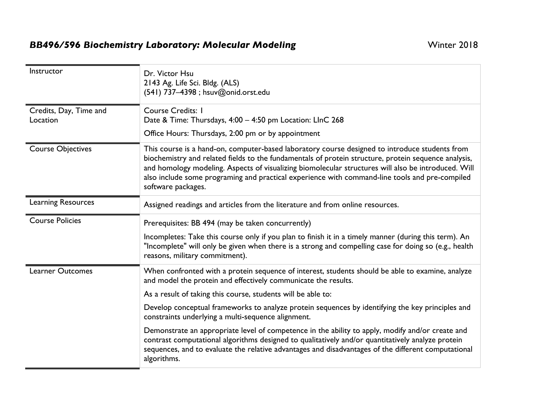## BB496/596 Biochemistry Laboratory: Molecular Modeling **Example 2018** Winter 2018

| Instructor                         | Dr. Victor Hsu<br>2143 Ag. Life Sci. Bldg. (ALS)<br>(541) 737-4398 ; hsuv@onid.orst.edu                                                                                                                                                                                                                                                                                                                                                                                                          |
|------------------------------------|--------------------------------------------------------------------------------------------------------------------------------------------------------------------------------------------------------------------------------------------------------------------------------------------------------------------------------------------------------------------------------------------------------------------------------------------------------------------------------------------------|
| Credits, Day, Time and<br>Location | <b>Course Credits: I</b><br>Date & Time: Thursdays, 4:00 - 4:50 pm Location: LInC 268<br>Office Hours: Thursdays, 2:00 pm or by appointment                                                                                                                                                                                                                                                                                                                                                      |
| <b>Course Objectives</b>           | This course is a hand-on, computer-based laboratory course designed to introduce students from<br>biochemistry and related fields to the fundamentals of protein structure, protein sequence analysis,<br>and homology modeling. Aspects of visualizing biomolecular structures will also be introduced. Will<br>also include some programing and practical experience with command-line tools and pre-compiled<br>software packages.                                                            |
| <b>Learning Resources</b>          | Assigned readings and articles from the literature and from online resources.                                                                                                                                                                                                                                                                                                                                                                                                                    |
| <b>Course Policies</b>             | Prerequisites: BB 494 (may be taken concurrently)<br>Incompletes: Take this course only if you plan to finish it in a timely manner (during this term). An<br>"Incomplete" will only be given when there is a strong and compelling case for doing so (e.g., health<br>reasons, military commitment).                                                                                                                                                                                            |
| <b>Learner Outcomes</b>            | When confronted with a protein sequence of interest, students should be able to examine, analyze<br>and model the protein and effectively communicate the results.<br>As a result of taking this course, students will be able to:<br>Develop conceptual frameworks to analyze protein sequences by identifying the key principles and<br>constraints underlying a multi-sequence alignment.<br>Demonstrate an appropriate level of competence in the ability to apply, modify and/or create and |
|                                    | contrast computational algorithms designed to qualitatively and/or quantitatively analyze protein<br>sequences, and to evaluate the relative advantages and disadvantages of the different computational<br>algorithms.                                                                                                                                                                                                                                                                          |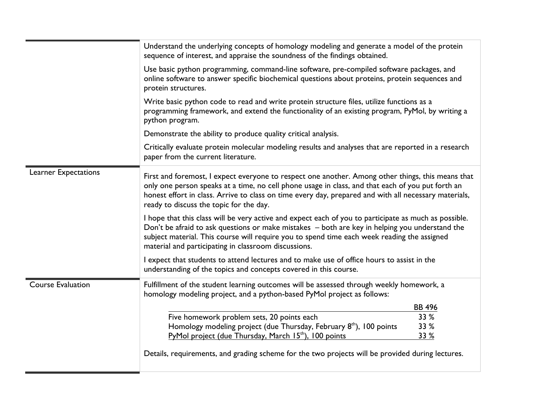|                          | Understand the underlying concepts of homology modeling and generate a model of the protein<br>sequence of interest, and appraise the soundness of the findings obtained.                                                                                                                                                                                      |
|--------------------------|----------------------------------------------------------------------------------------------------------------------------------------------------------------------------------------------------------------------------------------------------------------------------------------------------------------------------------------------------------------|
|                          | Use basic python programming, command-line software, pre-compiled software packages, and<br>online software to answer specific biochemical questions about proteins, protein sequences and<br>protein structures.                                                                                                                                              |
|                          | Write basic python code to read and write protein structure files, utilize functions as a<br>programming framework, and extend the functionality of an existing program, PyMol, by writing a<br>python program.                                                                                                                                                |
|                          | Demonstrate the ability to produce quality critical analysis.                                                                                                                                                                                                                                                                                                  |
|                          | Critically evaluate protein molecular modeling results and analyses that are reported in a research<br>paper from the current literature.                                                                                                                                                                                                                      |
| Learner Expectations     | First and foremost, I expect everyone to respect one another. Among other things, this means that<br>only one person speaks at a time, no cell phone usage in class, and that each of you put forth an<br>honest effort in class. Arrive to class on time every day, prepared and with all necessary materials,<br>ready to discuss the topic for the day.     |
|                          | I hope that this class will be very active and expect each of you to participate as much as possible.<br>Don't be afraid to ask questions or make mistakes - both are key in helping you understand the<br>subject material. This course will require you to spend time each week reading the assigned<br>material and participating in classroom discussions. |
|                          | I expect that students to attend lectures and to make use of office hours to assist in the<br>understanding of the topics and concepts covered in this course.                                                                                                                                                                                                 |
| <b>Course Evaluation</b> | Fulfillment of the student learning outcomes will be assessed through weekly homework, a<br>homology modeling project, and a python-based PyMol project as follows:                                                                                                                                                                                            |
|                          | <b>BB 496</b>                                                                                                                                                                                                                                                                                                                                                  |
|                          | Five homework problem sets, 20 points each<br>33 %                                                                                                                                                                                                                                                                                                             |
|                          | 33 %<br>Homology modeling project (due Thursday, February 8 <sup>th</sup> ), 100 points                                                                                                                                                                                                                                                                        |
|                          | 33 %<br>PyMol project (due Thursday, March 15 <sup>th</sup> ), 100 points                                                                                                                                                                                                                                                                                      |
|                          | Details, requirements, and grading scheme for the two projects will be provided during lectures.                                                                                                                                                                                                                                                               |